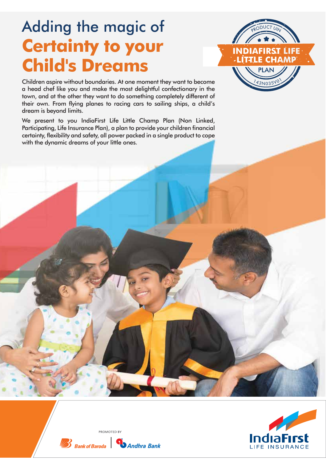# Adding the magic of **Certainty to your Child's Dreams**



Children aspire without boundaries. At one moment they want to become a head chef like you and make the most delightful confectionary in the town, and at the other they want to do something completely different of their own. From flying planes to racing cars to sailing ships, a child's dream is beyond limits.

We present to you IndiaFirst Life Little Champ Plan (Non Linked, Participating, Life Insurance Plan), a plan to provide your children financial certainty, flexibility and safety, all power packed in a single product to cope with the dynamic dreams of your little ones.